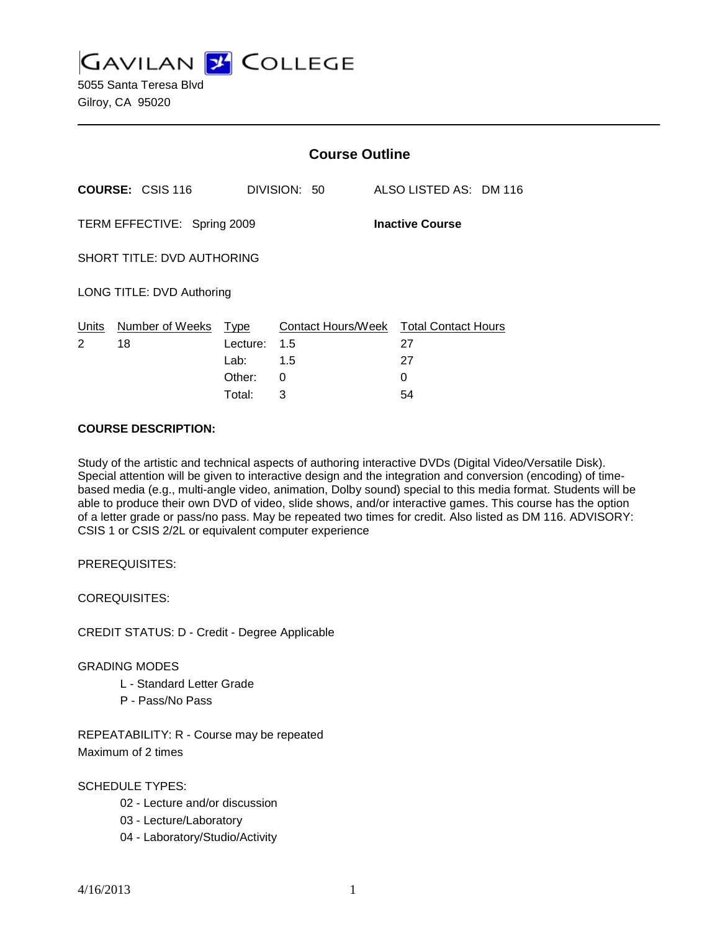**GAVILAN J' COLLEGE** 

5055 Santa Teresa Blvd Gilroy, CA 95020

|                                                       |                                   | <b>Course Outline</b> |                                               |  |                        |  |
|-------------------------------------------------------|-----------------------------------|-----------------------|-----------------------------------------------|--|------------------------|--|
|                                                       | <b>COURSE: CSIS 116</b>           |                       | DIVISION: 50                                  |  | ALSO LISTED AS: DM 116 |  |
| TERM EFFECTIVE: Spring 2009<br><b>Inactive Course</b> |                                   |                       |                                               |  |                        |  |
|                                                       | <b>SHORT TITLE: DVD AUTHORING</b> |                       |                                               |  |                        |  |
|                                                       | LONG TITLE: DVD Authoring         |                       |                                               |  |                        |  |
| Units<br>$\overline{2}$                               | Number of Weeks Type<br>18        | Lecture:              | Contact Hours/Week Total Contact Hours<br>1.5 |  | 27                     |  |
|                                                       |                                   | Lab:                  | 1.5                                           |  | 27                     |  |
|                                                       |                                   | Other:                | 0                                             |  | $\Omega$               |  |
|                                                       |                                   | Total:                | 3                                             |  | 54                     |  |

#### **COURSE DESCRIPTION:**

Study of the artistic and technical aspects of authoring interactive DVDs (Digital Video/Versatile Disk). Special attention will be given to interactive design and the integration and conversion (encoding) of timebased media (e.g., multi-angle video, animation, Dolby sound) special to this media format. Students will be able to produce their own DVD of video, slide shows, and/or interactive games. This course has the option of a letter grade or pass/no pass. May be repeated two times for credit. Also listed as DM 116. ADVISORY: CSIS 1 or CSIS 2/2L or equivalent computer experience

PREREQUISITES:

COREQUISITES:

CREDIT STATUS: D - Credit - Degree Applicable

#### GRADING MODES

- L Standard Letter Grade
- P Pass/No Pass

REPEATABILITY: R - Course may be repeated Maximum of 2 times

SCHEDULE TYPES:

- 02 Lecture and/or discussion
- 03 Lecture/Laboratory
- 04 Laboratory/Studio/Activity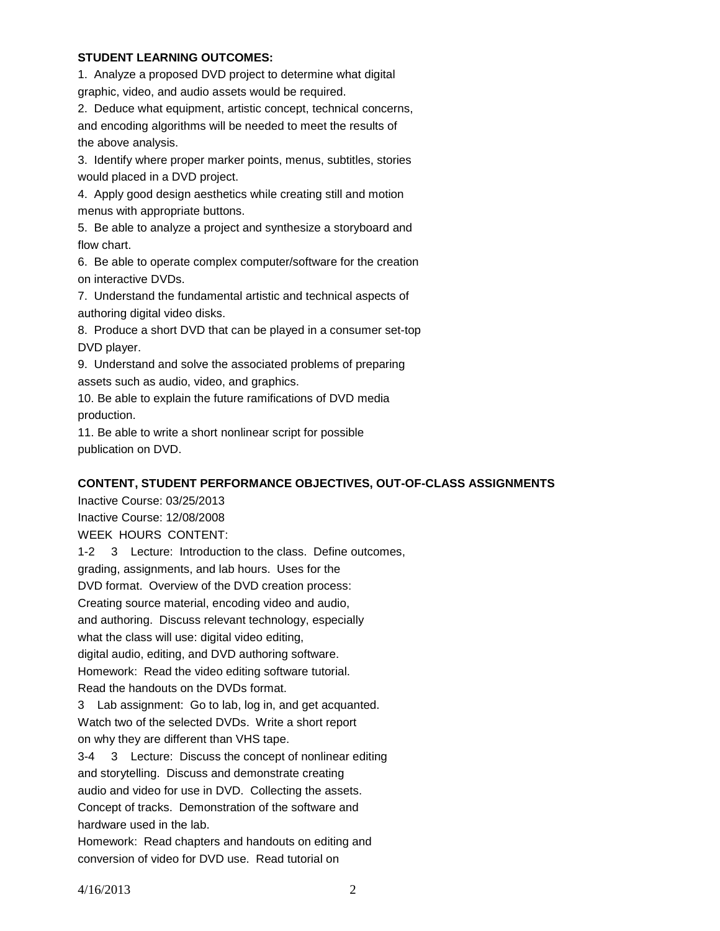### **STUDENT LEARNING OUTCOMES:**

1. Analyze a proposed DVD project to determine what digital graphic, video, and audio assets would be required.

2. Deduce what equipment, artistic concept, technical concerns, and encoding algorithms will be needed to meet the results of the above analysis.

3. Identify where proper marker points, menus, subtitles, stories would placed in a DVD project.

4. Apply good design aesthetics while creating still and motion menus with appropriate buttons.

5. Be able to analyze a project and synthesize a storyboard and flow chart.

6. Be able to operate complex computer/software for the creation on interactive DVDs.

7. Understand the fundamental artistic and technical aspects of authoring digital video disks.

8. Produce a short DVD that can be played in a consumer set-top DVD player.

9. Understand and solve the associated problems of preparing assets such as audio, video, and graphics.

10. Be able to explain the future ramifications of DVD media production.

11. Be able to write a short nonlinear script for possible publication on DVD.

## **CONTENT, STUDENT PERFORMANCE OBJECTIVES, OUT-OF-CLASS ASSIGNMENTS**

Inactive Course: 03/25/2013 Inactive Course: 12/08/2008 WEEK HOURS CONTENT:

1-2 3 Lecture: Introduction to the class. Define outcomes, grading, assignments, and lab hours. Uses for the DVD format. Overview of the DVD creation process: Creating source material, encoding video and audio, and authoring. Discuss relevant technology, especially what the class will use: digital video editing, digital audio, editing, and DVD authoring software. Homework: Read the video editing software tutorial. Read the handouts on the DVDs format.

3 Lab assignment: Go to lab, log in, and get acquanted. Watch two of the selected DVDs. Write a short report on why they are different than VHS tape.

3-4 3 Lecture: Discuss the concept of nonlinear editing and storytelling. Discuss and demonstrate creating audio and video for use in DVD. Collecting the assets. Concept of tracks. Demonstration of the software and hardware used in the lab.

Homework: Read chapters and handouts on editing and conversion of video for DVD use. Read tutorial on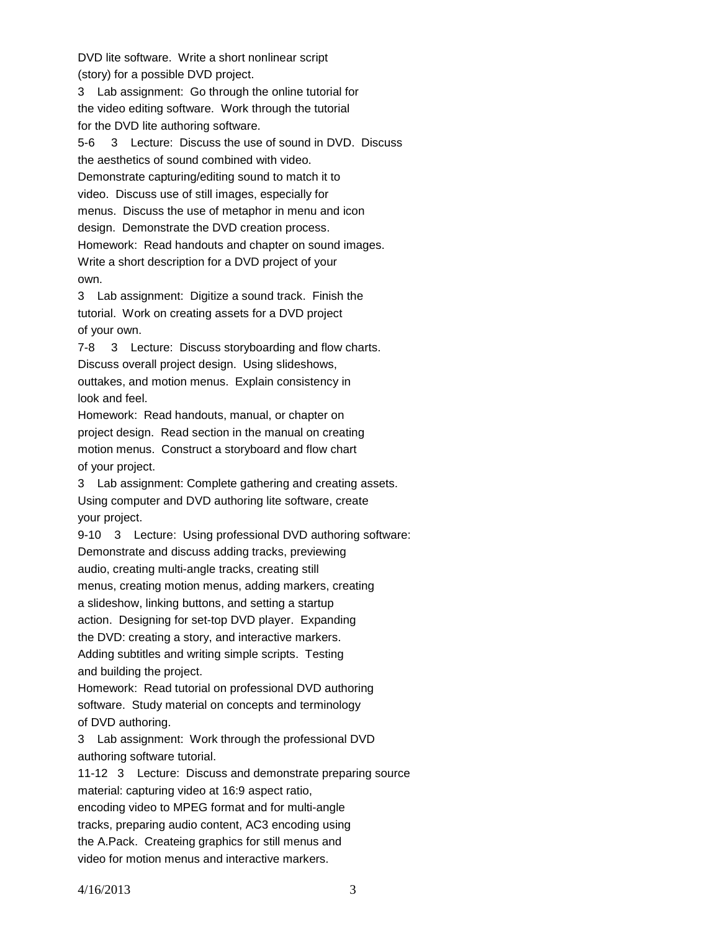DVD lite software. Write a short nonlinear script (story) for a possible DVD project.

3 Lab assignment: Go through the online tutorial for the video editing software. Work through the tutorial for the DVD lite authoring software.

5-6 3 Lecture: Discuss the use of sound in DVD. Discuss the aesthetics of sound combined with video. Demonstrate capturing/editing sound to match it to video. Discuss use of still images, especially for menus. Discuss the use of metaphor in menu and icon design. Demonstrate the DVD creation process. Homework: Read handouts and chapter on sound images. Write a short description for a DVD project of your own.

3 Lab assignment: Digitize a sound track. Finish the tutorial. Work on creating assets for a DVD project of your own.

7-8 3 Lecture: Discuss storyboarding and flow charts. Discuss overall project design. Using slideshows, outtakes, and motion menus. Explain consistency in look and feel.

Homework: Read handouts, manual, or chapter on project design. Read section in the manual on creating motion menus. Construct a storyboard and flow chart of your project.

3 Lab assignment: Complete gathering and creating assets. Using computer and DVD authoring lite software, create your project.

9-10 3 Lecture: Using professional DVD authoring software: Demonstrate and discuss adding tracks, previewing audio, creating multi-angle tracks, creating still menus, creating motion menus, adding markers, creating a slideshow, linking buttons, and setting a startup action. Designing for set-top DVD player. Expanding the DVD: creating a story, and interactive markers. Adding subtitles and writing simple scripts. Testing and building the project.

Homework: Read tutorial on professional DVD authoring software. Study material on concepts and terminology of DVD authoring.

3 Lab assignment: Work through the professional DVD authoring software tutorial.

11-12 3 Lecture: Discuss and demonstrate preparing source material: capturing video at 16:9 aspect ratio, encoding video to MPEG format and for multi-angle tracks, preparing audio content, AC3 encoding using the A.Pack. Createing graphics for still menus and video for motion menus and interactive markers.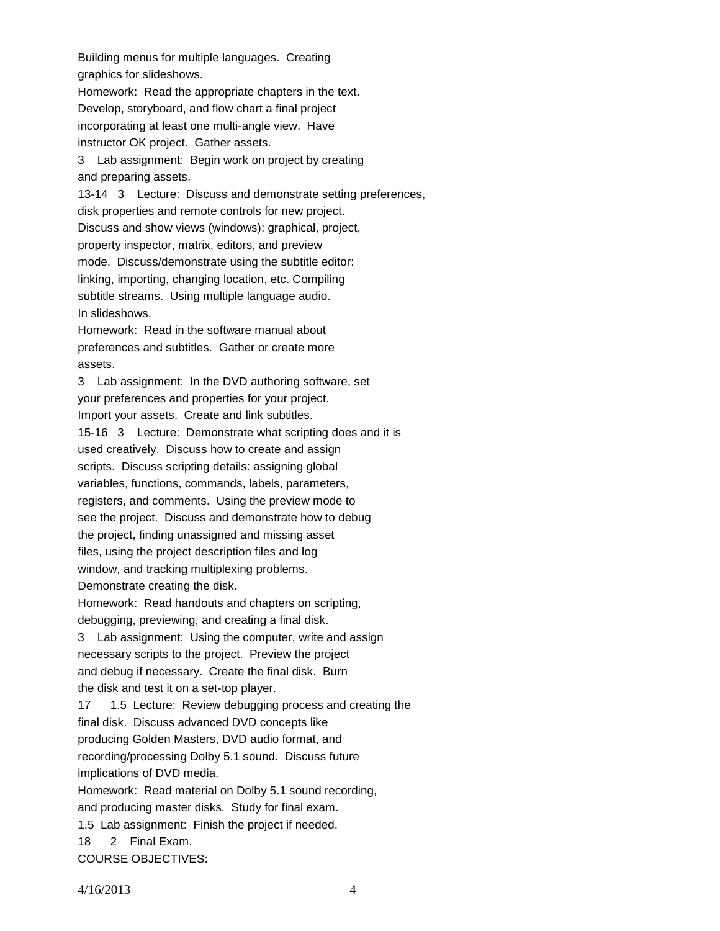Building menus for multiple languages. Creating graphics for slideshows.

Homework: Read the appropriate chapters in the text. Develop, storyboard, and flow chart a final project incorporating at least one multi-angle view. Have instructor OK project. Gather assets.

3 Lab assignment: Begin work on project by creating and preparing assets.

13-14 3 Lecture: Discuss and demonstrate setting preferences, disk properties and remote controls for new project. Discuss and show views (windows): graphical, project, property inspector, matrix, editors, and preview mode. Discuss/demonstrate using the subtitle editor: linking, importing, changing location, etc. Compiling subtitle streams. Using multiple language audio. In slideshows.

Homework: Read in the software manual about preferences and subtitles. Gather or create more assets.

3 Lab assignment: In the DVD authoring software, set your preferences and properties for your project. Import your assets. Create and link subtitles. 15-16 3 Lecture: Demonstrate what scripting does and it is used creatively. Discuss how to create and assign

scripts. Discuss scripting details: assigning global variables, functions, commands, labels, parameters, registers, and comments. Using the preview mode to see the project. Discuss and demonstrate how to debug the project, finding unassigned and missing asset files, using the project description files and log window, and tracking multiplexing problems. Demonstrate creating the disk.

Homework: Read handouts and chapters on scripting, debugging, previewing, and creating a final disk. 3 Lab assignment: Using the computer, write and assign necessary scripts to the project. Preview the project and debug if necessary. Create the final disk. Burn

the disk and test it on a set-top player.

17 1.5 Lecture: Review debugging process and creating the final disk. Discuss advanced DVD concepts like producing Golden Masters, DVD audio format, and recording/processing Dolby 5.1 sound. Discuss future implications of DVD media. Homework: Read material on Dolby 5.1 sound recording, and producing master disks. Study for final exam. 1.5 Lab assignment: Finish the project if needed. 18 2 Final Exam.

COURSE OBJECTIVES: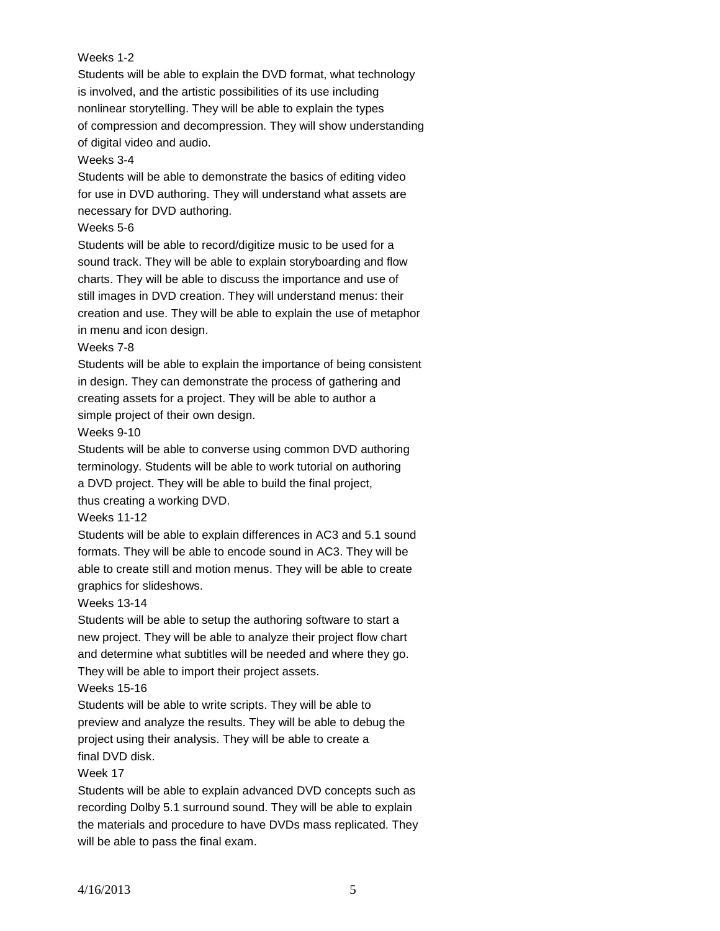## Weeks 1-2

Students will be able to explain the DVD format, what technology is involved, and the artistic possibilities of its use including nonlinear storytelling. They will be able to explain the types of compression and decompression. They will show understanding of digital video and audio.

#### Weeks 3-4

Students will be able to demonstrate the basics of editing video for use in DVD authoring. They will understand what assets are necessary for DVD authoring.

### Weeks 5-6

Students will be able to record/digitize music to be used for a sound track. They will be able to explain storyboarding and flow charts. They will be able to discuss the importance and use of still images in DVD creation. They will understand menus: their creation and use. They will be able to explain the use of metaphor in menu and icon design.

#### Weeks 7-8

Students will be able to explain the importance of being consistent in design. They can demonstrate the process of gathering and creating assets for a project. They will be able to author a simple project of their own design.

#### Weeks 9-10

Students will be able to converse using common DVD authoring terminology. Students will be able to work tutorial on authoring a DVD project. They will be able to build the final project,

thus creating a working DVD.

## Weeks 11-12

Students will be able to explain differences in AC3 and 5.1 sound formats. They will be able to encode sound in AC3. They will be able to create still and motion menus. They will be able to create graphics for slideshows.

## Weeks 13-14

Students will be able to setup the authoring software to start a new project. They will be able to analyze their project flow chart and determine what subtitles will be needed and where they go. They will be able to import their project assets.

## Weeks 15-16

Students will be able to write scripts. They will be able to preview and analyze the results. They will be able to debug the project using their analysis. They will be able to create a final DVD disk.

## Week 17

Students will be able to explain advanced DVD concepts such as recording Dolby 5.1 surround sound. They will be able to explain the materials and procedure to have DVDs mass replicated. They will be able to pass the final exam.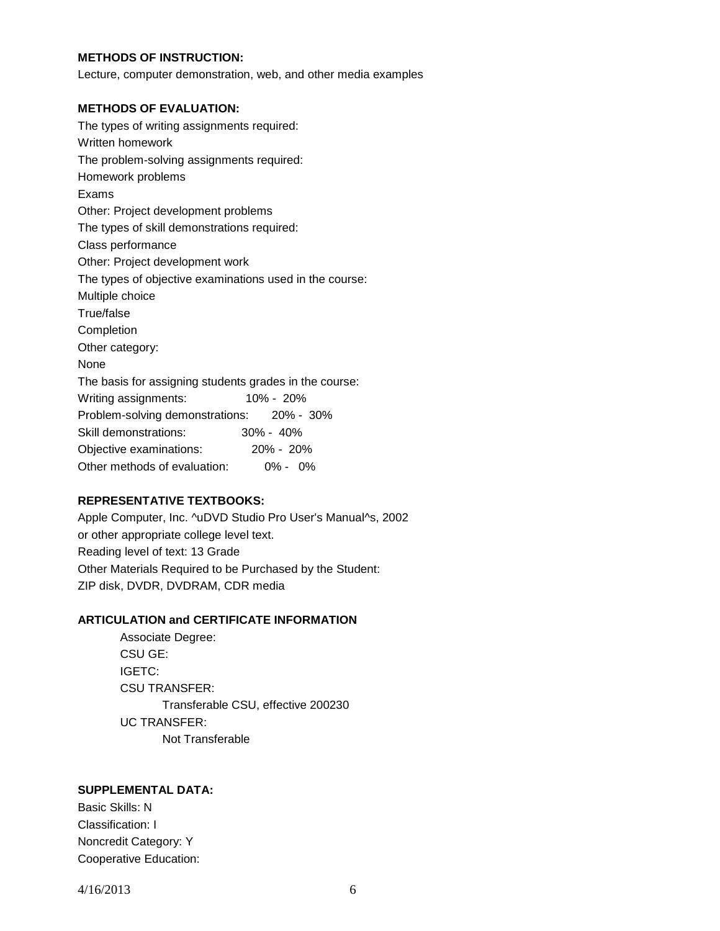## **METHODS OF INSTRUCTION:**

Lecture, computer demonstration, web, and other media examples

#### **METHODS OF EVALUATION:**

The types of writing assignments required: Written homework The problem-solving assignments required: Homework problems Exams Other: Project development problems The types of skill demonstrations required: Class performance Other: Project development work The types of objective examinations used in the course: Multiple choice True/false Completion Other category: None The basis for assigning students grades in the course: Writing assignments: 10% - 20% Problem-solving demonstrations: 20% - 30% Skill demonstrations: 30% - 40% Objective examinations: 20% - 20% Other methods of evaluation: 0% - 0%

## **REPRESENTATIVE TEXTBOOKS:**

Apple Computer, Inc. ^uDVD Studio Pro User's Manual^s, 2002 or other appropriate college level text. Reading level of text: 13 Grade Other Materials Required to be Purchased by the Student: ZIP disk, DVDR, DVDRAM, CDR media

## **ARTICULATION and CERTIFICATE INFORMATION**

Associate Degree: CSU GE: IGETC: CSU TRANSFER: Transferable CSU, effective 200230 UC TRANSFER: Not Transferable

# **SUPPLEMENTAL DATA:**

Basic Skills: N Classification: I Noncredit Category: Y Cooperative Education:

4/16/2013 6